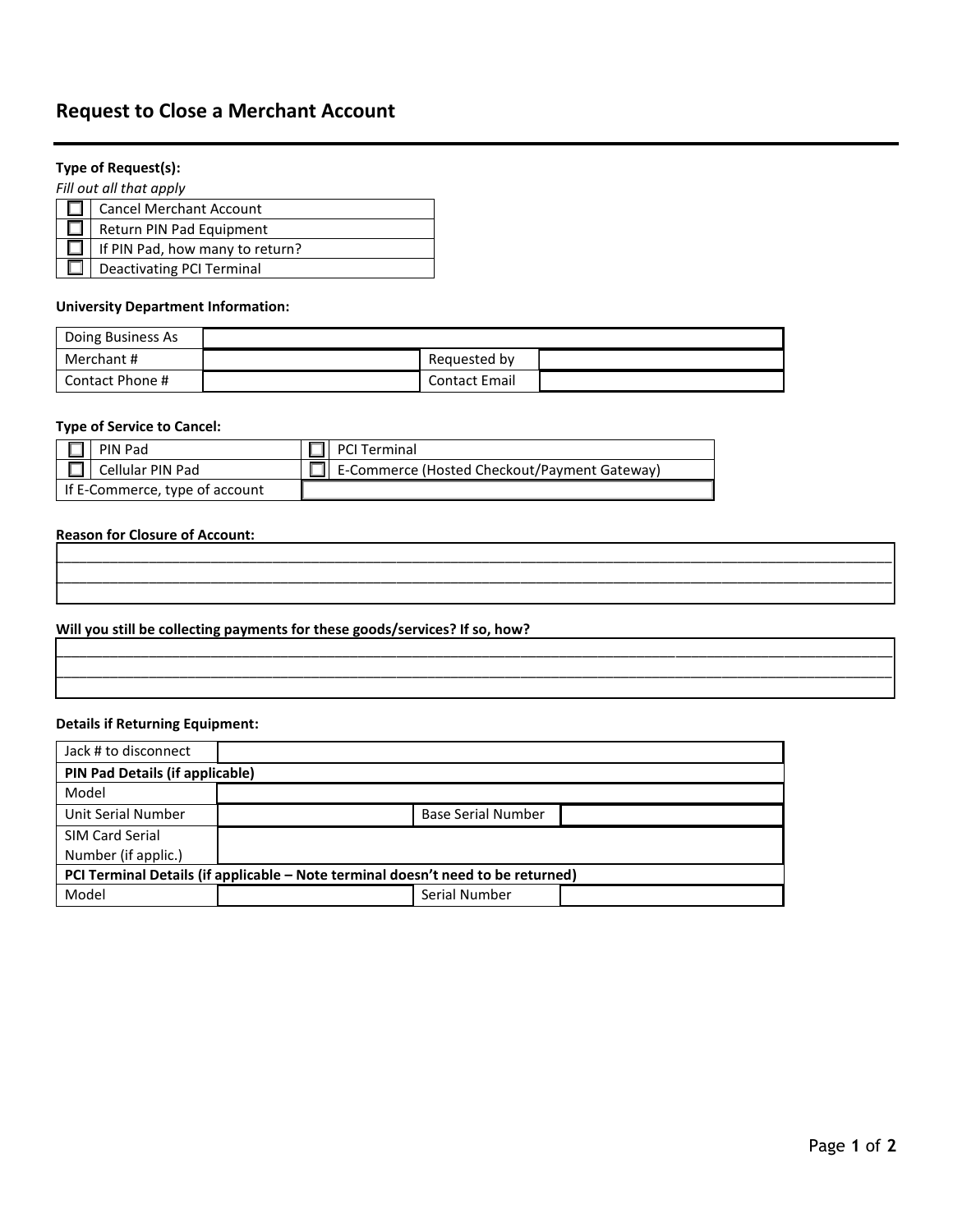## **Request to Close a Merchant Account**

### **Type of Request(s):**

*Fill out all that apply*

| <b>Cancel Merchant Account</b>   |
|----------------------------------|
| Return PIN Pad Equipment         |
| If PIN Pad, how many to return?  |
| <b>Deactivating PCI Terminal</b> |

#### **University Department Information:**

| Doing Business As |                      |  |
|-------------------|----------------------|--|
| Merchant #        | Requested by         |  |
| Contact Phone #   | <b>Contact Email</b> |  |

\_\_\_\_\_\_\_\_\_\_\_\_\_\_\_\_\_\_\_\_\_\_\_\_\_\_\_\_\_\_\_\_\_\_\_\_\_\_\_\_\_\_\_\_\_\_\_\_\_\_\_\_\_\_\_\_\_\_\_\_\_\_\_\_\_\_\_\_\_\_\_\_\_\_\_\_\_\_\_\_\_\_\_\_\_\_\_\_\_\_\_\_\_\_\_\_\_\_\_\_\_\_\_\_\_\_\_\_ \_\_\_\_\_\_\_\_\_\_\_\_\_\_\_\_\_\_\_\_\_\_\_\_\_\_\_\_\_\_\_\_\_\_\_\_\_\_\_\_\_\_\_\_\_\_\_\_\_\_\_\_\_\_\_\_\_\_\_\_\_\_\_\_\_\_\_\_\_\_\_\_\_\_\_\_\_\_\_\_\_\_\_\_\_\_\_\_\_\_\_\_\_\_\_\_\_\_\_\_\_\_\_\_\_\_\_\_  $\mathcal{L}_\text{max} = \mathcal{L}_\text{max} = \mathcal{L}_\text{max} = \mathcal{L}_\text{max} = \mathcal{L}_\text{max} = \mathcal{L}_\text{max} = \mathcal{L}_\text{max} = \mathcal{L}_\text{max} = \mathcal{L}_\text{max} = \mathcal{L}_\text{max} = \mathcal{L}_\text{max} = \mathcal{L}_\text{max} = \mathcal{L}_\text{max} = \mathcal{L}_\text{max} = \mathcal{L}_\text{max} = \mathcal{L}_\text{max} = \mathcal{L}_\text{max} = \mathcal{L}_\text{max} = \mathcal{$ 

\_\_\_\_\_\_\_\_\_\_\_\_\_\_\_\_\_\_\_\_\_\_\_\_\_\_\_\_\_\_\_\_\_\_\_\_\_\_\_\_\_\_\_\_\_\_\_\_\_\_\_\_\_\_\_\_\_\_\_\_\_\_\_\_\_\_\_\_\_\_\_\_\_\_\_\_\_\_\_\_\_\_\_\_\_\_\_\_\_\_\_\_\_\_\_\_\_\_\_\_\_\_\_\_\_\_\_\_ \_\_\_\_\_\_\_\_\_\_\_\_\_\_\_\_\_\_\_\_\_\_\_\_\_\_\_\_\_\_\_\_\_\_\_\_\_\_\_\_\_\_\_\_\_\_\_\_\_\_\_\_\_\_\_\_\_\_\_\_\_\_\_\_\_\_\_\_\_\_\_\_\_\_\_\_\_\_\_\_\_\_\_\_\_\_\_\_\_\_\_\_\_\_\_\_\_\_\_\_\_\_\_\_\_\_\_\_  $\mathcal{L}_\text{max} = \mathcal{L}_\text{max} = \mathcal{L}_\text{max} = \mathcal{L}_\text{max} = \mathcal{L}_\text{max} = \mathcal{L}_\text{max} = \mathcal{L}_\text{max} = \mathcal{L}_\text{max} = \mathcal{L}_\text{max} = \mathcal{L}_\text{max} = \mathcal{L}_\text{max} = \mathcal{L}_\text{max} = \mathcal{L}_\text{max} = \mathcal{L}_\text{max} = \mathcal{L}_\text{max} = \mathcal{L}_\text{max} = \mathcal{L}_\text{max} = \mathcal{L}_\text{max} = \mathcal{$ 

#### **Type of Service to Cancel:**

| l PIN Pad                      |  | $\Box$ PCI Terminal                                 |
|--------------------------------|--|-----------------------------------------------------|
| $\Box$   Cellular PIN Pad      |  | $\Box$ E-Commerce (Hosted Checkout/Payment Gateway) |
| If E-Commerce, type of account |  |                                                     |

#### **Reason for Closure of Account:**

#### **Will you still be collecting payments for these goods/services? If so, how?**

#### **Details if Returning Equipment:**

| Jack # to disconnect                                                             |                           |  |  |  |
|----------------------------------------------------------------------------------|---------------------------|--|--|--|
| PIN Pad Details (if applicable)                                                  |                           |  |  |  |
| Model                                                                            |                           |  |  |  |
| Unit Serial Number                                                               | <b>Base Serial Number</b> |  |  |  |
| SIM Card Serial                                                                  |                           |  |  |  |
| Number (if applic.)                                                              |                           |  |  |  |
| PCI Terminal Details (if applicable – Note terminal doesn't need to be returned) |                           |  |  |  |
| Model                                                                            | Serial Number             |  |  |  |